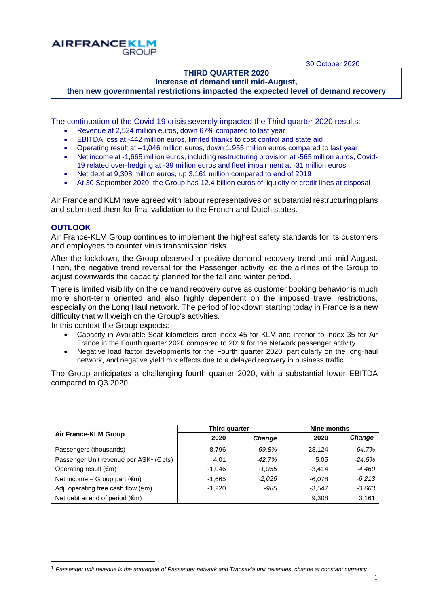30 October 2020

# **THIRD QUARTER 2020**

# **Increase of demand until mid-August,**

**then new governmental restrictions impacted the expected level of demand recovery**

The continuation of the Covid-19 crisis severely impacted the Third quarter 2020 results:

- Revenue at 2,524 million euros, down 67% compared to last year
- EBITDA loss at -442 million euros, limited thanks to cost control and state aid
- Operating result at –1,046 million euros, down 1,955 million euros compared to last year
- Net income at -1,665 million euros, including restructuring provision at -565 million euros, Covid-19 related over-hedging at -39 million euros and fleet impairment at -31 million euros
- Net debt at 9,308 million euros, up 3,161 million compared to end of 2019
- At 30 September 2020, the Group has 12.4 billion euros of liquidity or credit lines at disposal

Air France and KLM have agreed with labour representatives on substantial restructuring plans and submitted them for final validation to the French and Dutch states.

## **OUTLOOK**

 $\overline{a}$ 

Air France-KLM Group continues to implement the highest safety standards for its customers and employees to counter virus transmission risks.

After the lockdown, the Group observed a positive demand recovery trend until mid-August. Then, the negative trend reversal for the Passenger activity led the airlines of the Group to adjust downwards the capacity planned for the fall and winter period.

There is limited visibility on the demand recovery curve as customer booking behavior is much more short-term oriented and also highly dependent on the imposed travel restrictions, especially on the Long Haul network. The period of lockdown starting today in France is a new difficulty that will weigh on the Group's activities.

In this context the Group expects:

**AIRFRANCEKLM** 

**GROUP** 

- Capacity in Available Seat kilometers circa index 45 for KLM and inferior to index 35 for Air France in the Fourth quarter 2020 compared to 2019 for the Network passenger activity
- Negative load factor developments for the Fourth quarter 2020, particularly on the long-haul network, and negative yield mix effects due to a delayed recovery in business traffic

The Group anticipates a challenging fourth quarter 2020, with a substantial lower EBITDA compared to Q3 2020.

|                                                               | Third quarter |               | Nine months |                     |  |
|---------------------------------------------------------------|---------------|---------------|-------------|---------------------|--|
| Air France-KLM Group                                          | 2020          | <b>Change</b> | 2020        | Change <sup>1</sup> |  |
| Passengers (thousands)                                        | 8,796         | -69.8%        | 28,124      | $-64.7%$            |  |
| Passenger Unit revenue per ASK <sup>1</sup> ( $\epsilon$ cts) | 4.01          | $-42.7%$      | 5.05        | $-24.5%$            |  |
| Operating result $(\epsilon m)$                               | $-1.046$      | $-1.955$      | $-3.414$    | $-4,460$            |  |
| Net income – Group part $(\epsilon m)$                        | $-1,665$      | $-2,026$      | $-6.078$    | $-6.213$            |  |
| Adj. operating free cash flow $(\epsilon m)$                  | $-1.220$      | $-985$        | $-3.547$    | $-3,663$            |  |
| Net debt at end of period $(\epsilon m)$                      |               |               | 9,308       | 3,161               |  |

<sup>1</sup> *Passenger unit revenue is the aggregate of Passenger network and Transavia unit revenues, change at constant currency*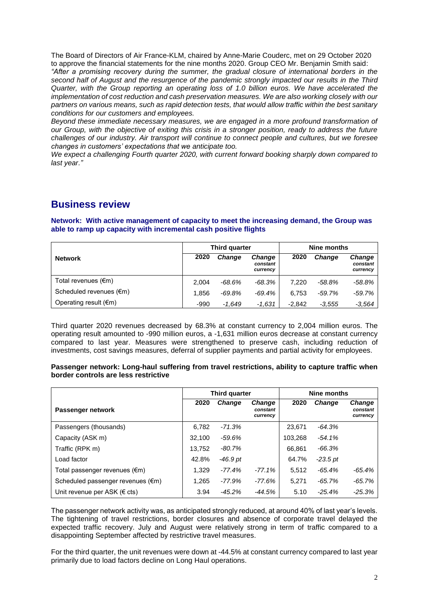The Board of Directors of Air France-KLM, chaired by Anne-Marie Couderc, met on 29 October 2020 to approve the financial statements for the nine months 2020. Group CEO Mr. Benjamin Smith said: *"After a promising recovery during the summer, the gradual closure of international borders in the second half of August and the resurgence of the pandemic strongly impacted our results in the Third Quarter, with the Group reporting an operating loss of 1.0 billion euros. We have accelerated the implementation of cost reduction and cash preservation measures. We are also working closely with our partners on various means, such as rapid detection tests, that would allow traffic within the best sanitary conditions for our customers and employees.* 

*Beyond these immediate necessary measures, we are engaged in a more profound transformation of our Group, with the objective of exiting this crisis in a stronger position, ready to address the future challenges of our industry. Air transport will continue to connect people and cultures, but we foresee changes in customers' expectations that we anticipate too.*

*We expect a challenging Fourth quarter 2020, with current forward booking sharply down compared to last year."*

# **Business review**

#### **Network: With active management of capacity to meet the increasing demand, the Group was able to ramp up capacity with incremental cash positive flights**

|                                   | <b>Third quarter</b> |               |                                       | Nine months |               |                                       |  |
|-----------------------------------|----------------------|---------------|---------------------------------------|-------------|---------------|---------------------------------------|--|
| <b>Network</b>                    | 2020                 | <b>Change</b> | <b>Change</b><br>constant<br>currency | 2020        | <b>Change</b> | <b>Change</b><br>constant<br>currency |  |
| Total revenues (€m)               | 2.004                | -68.6%        | -68.3%                                | 7.220       | -58.8%        | -58.8%                                |  |
| Scheduled revenues $(\epsilon m)$ | 1.856                | $-69.8%$      | $-69.4\%$                             | 6.753       | $-59.7%$      | $-59.7%$                              |  |
| Operating result $(\epsilon m)$   | -990                 | -1.649        | $-1.631$                              | $-2.842$    | $-3.555$      | $-3,564$                              |  |

Third quarter 2020 revenues decreased by 68.3% at constant currency to 2,004 million euros. The operating result amounted to -990 million euros, a -1,631 million euros decrease at constant currency compared to last year. Measures were strengthened to preserve cash, including reduction of investments, cost savings measures, deferral of supplier payments and partial activity for employees.

#### **Passenger network: Long-haul suffering from travel restrictions, ability to capture traffic when border controls are less restrictive**

|                                   | Third quarter |               |                                       | Nine months |               |                                       |  |
|-----------------------------------|---------------|---------------|---------------------------------------|-------------|---------------|---------------------------------------|--|
| Passenger network                 | 2020          | <b>Change</b> | <b>Change</b><br>constant<br>currency | 2020        | <b>Change</b> | <b>Change</b><br>constant<br>currency |  |
| Passengers (thousands)            | 6.782         | $-71.3%$      |                                       | 23,671      | $-64.3%$      |                                       |  |
| Capacity (ASK m)                  | 32.100        | $-59.6%$      |                                       | 103,268     | $-54.1\%$     |                                       |  |
| Traffic (RPK m)                   | 13.752        | -80.7%        |                                       | 66,861      | $-66.3%$      |                                       |  |
| Load factor                       | 42.8%         | $-46.9$ pt    |                                       | 64.7%       | $-23.5$ pt    |                                       |  |
| Total passenger revenues (€m)     | 1.329         | $-77.4%$      | $-77.1%$                              | 5.512       | $-65.4\%$     | -65.4%                                |  |
| Scheduled passenger revenues (€m) | 1.265         | -77.9%        | $-77.6%$                              | 5.271       | $-65.7\%$     | $-65.7\%$                             |  |
| Unit revenue per ASK (€ cts)      | 3.94          | $-45.2%$      | $-44.5%$                              | 5.10        | $-25.4%$      | $-25.3%$                              |  |

The passenger network activity was, as anticipated strongly reduced, at around 40% of last year's levels. The tightening of travel restrictions, border closures and absence of corporate travel delayed the expected traffic recovery. July and August were relatively strong in term of traffic compared to a disappointing September affected by restrictive travel measures.

For the third quarter, the unit revenues were down at -44.5% at constant currency compared to last year primarily due to load factors decline on Long Haul operations.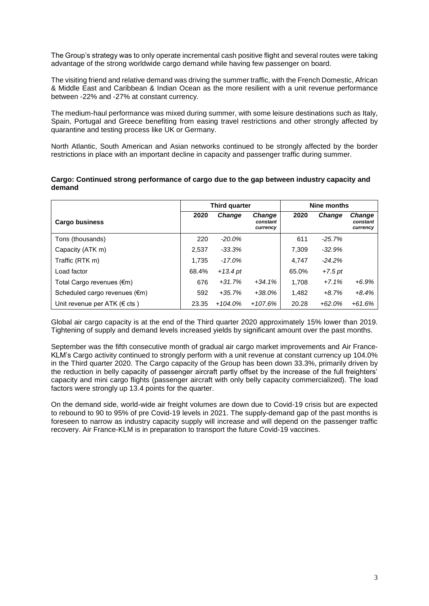The Group's strategy was to only operate incremental cash positive flight and several routes were taking advantage of the strong worldwide cargo demand while having few passenger on board.

The visiting friend and relative demand was driving the summer traffic, with the French Domestic, African & Middle East and Caribbean & Indian Ocean as the more resilient with a unit revenue performance between -22% and -27% at constant currency.

The medium-haul performance was mixed during summer, with some leisure destinations such as Italy, Spain, Portugal and Greece benefiting from easing travel restrictions and other strongly affected by quarantine and testing process like UK or Germany.

North Atlantic, South American and Asian networks continued to be strongly affected by the border restrictions in place with an important decline in capacity and passenger traffic during summer.

| Cargo: Continued strong performance of cargo due to the gap between industry capacity and |  |
|-------------------------------------------------------------------------------------------|--|
| demand                                                                                    |  |

|                                   | Third quarter |               |                                       | Nine months |               |                                       |  |
|-----------------------------------|---------------|---------------|---------------------------------------|-------------|---------------|---------------------------------------|--|
| <b>Cargo business</b>             | 2020          | <b>Change</b> | <b>Change</b><br>constant<br>currency | 2020        | <b>Change</b> | <b>Change</b><br>constant<br>currency |  |
| Tons (thousands)                  | 220           | $-20.0\%$     |                                       | 611         | $-25.7%$      |                                       |  |
| Capacity (ATK m)                  | 2,537         | $-33.3\%$     |                                       | 7.309       | $-32.9%$      |                                       |  |
| Traffic (RTK m)                   | 1,735         | $-17.0\%$     |                                       | 4.747       | $-24.2%$      |                                       |  |
| Load factor                       | 68.4%         | $+13.4pt$     |                                       | 65.0%       | $+7.5$ pt     |                                       |  |
| Total Cargo revenues (€m)         | 676           | $+31.7%$      | $+34.1%$                              | 1.708       | $+7.1%$       | $+6.9%$                               |  |
| Scheduled cargo revenues (€m)     | 592           | $+35.7%$      | $+38.0\%$                             | 1,482       | $+8.7%$       | $+8.4%$                               |  |
| Unit revenue per ATK ( $\in$ cts) | 23.35         | $+104.0\%$    | $+107.6%$                             | 20.28       | $+62.0%$      | $+61.6%$                              |  |

Global air cargo capacity is at the end of the Third quarter 2020 approximately 15% lower than 2019. Tightening of supply and demand levels increased yields by significant amount over the past months.

September was the fifth consecutive month of gradual air cargo market improvements and Air France-KLM's Cargo activity continued to strongly perform with a unit revenue at constant currency up 104.0% in the Third quarter 2020. The Cargo capacity of the Group has been down 33.3%, primarily driven by the reduction in belly capacity of passenger aircraft partly offset by the increase of the full freighters' capacity and mini cargo flights (passenger aircraft with only belly capacity commercialized). The load factors were strongly up 13.4 points for the quarter.

On the demand side, world-wide air freight volumes are down due to Covid-19 crisis but are expected to rebound to 90 to 95% of pre Covid-19 levels in 2021. The supply-demand gap of the past months is foreseen to narrow as industry capacity supply will increase and will depend on the passenger traffic recovery. Air France-KLM is in preparation to transport the future Covid-19 vaccines.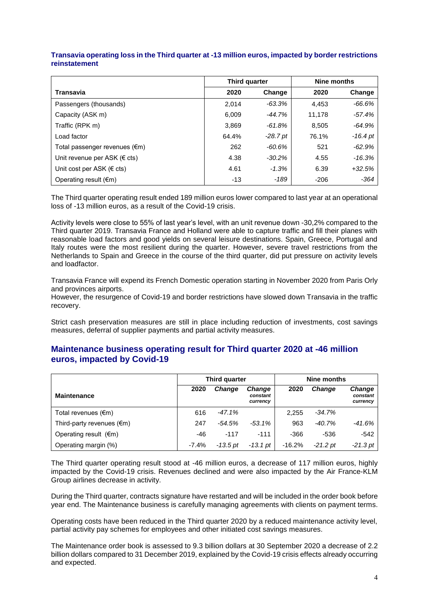|                                     | Third quarter |            | Nine months |            |  |
|-------------------------------------|---------------|------------|-------------|------------|--|
| Transavia                           | 2020          | Change     | 2020        | Change     |  |
| Passengers (thousands)              | 2,014         | $-63.3%$   | 4.453       | $-66.6%$   |  |
| Capacity (ASK m)                    | 6,009         | $-44.7%$   | 11,178      | -57.4%     |  |
| Traffic (RPK m)                     | 3.869         | $-61.8%$   | 8.505       | $-64.9%$   |  |
| Load factor                         | 64.4%         | $-28.7$ pt | 76.1%       | $-16.4$ pt |  |
| Total passenger revenues (€m)       | 262           | $-60.6%$   | 521         | $-62.9%$   |  |
| Unit revenue per ASK ( $\in$ cts)   | 4.38          | $-30.2%$   | 4.55        | $-16.3%$   |  |
| Unit cost per ASK ( $\epsilon$ cts) | 4.61          | $-1.3%$    | 6.39        | $+32.5%$   |  |
| Operating result $(\epsilon m)$     | $-13$         | $-189$     | $-206$      | $-364$     |  |

### **Transavia operating loss in the Third quarter at -13 million euros, impacted by border restrictions reinstatement**

The Third quarter operating result ended 189 million euros lower compared to last year at an operational loss of -13 million euros, as a result of the Covid-19 crisis.

Activity levels were close to 55% of last year's level, with an unit revenue down -30,2% compared to the Third quarter 2019. Transavia France and Holland were able to capture traffic and fill their planes with reasonable load factors and good yields on several leisure destinations. Spain, Greece, Portugal and Italy routes were the most resilient during the quarter. However, severe travel restrictions from the Netherlands to Spain and Greece in the course of the third quarter, did put pressure on activity levels and loadfactor.

Transavia France will expend its French Domestic operation starting in November 2020 from Paris Orly and provinces airports.

However, the resurgence of Covid-19 and border restrictions have slowed down Transavia in the traffic recovery.

Strict cash preservation measures are still in place including reduction of investments, cost savings measures, deferral of supplier payments and partial activity measures.

## **Maintenance business operating result for Third quarter 2020 at -46 million euros, impacted by Covid-19**

|                                     | <b>Third quarter</b> |               |                                       | Nine months |            |                                       |  |
|-------------------------------------|----------------------|---------------|---------------------------------------|-------------|------------|---------------------------------------|--|
| <b>Maintenance</b>                  | 2020                 | <b>Change</b> | <b>Change</b><br>constant<br>currency | 2020        | Change     | <b>Change</b><br>constant<br>currency |  |
| Total revenues $(\epsilon m)$       | 616                  | $-47.1%$      |                                       | 2,255       | $-34.7%$   |                                       |  |
| Third-party revenues $(\epsilon m)$ | 247                  | $-54.5%$      | $-53.1\%$                             | 963         | $-40.7\%$  | -41.6%                                |  |
| Operating result $(\epsilon m)$     | -46                  | $-117$        | $-111$                                | $-366$      | $-536$     | $-542$                                |  |
| Operating margin (%)                | $-7.4%$              | $-13.5$ pt    | -13.1 pt                              | $-16.2%$    | $-21.2$ pt | $-21.3$ pt                            |  |

The Third quarter operating result stood at -46 million euros, a decrease of 117 million euros, highly impacted by the Covid-19 crisis. Revenues declined and were also impacted by the Air France-KLM Group airlines decrease in activity.

During the Third quarter, contracts signature have restarted and will be included in the order book before year end. The Maintenance business is carefully managing agreements with clients on payment terms.

Operating costs have been reduced in the Third quarter 2020 by a reduced maintenance activity level, partial activity pay schemes for employees and other initiated cost savings measures.

The Maintenance order book is assessed to 9.3 billion dollars at 30 September 2020 a decrease of 2.2 billion dollars compared to 31 December 2019, explained by the Covid-19 crisis effects already occurring and expected.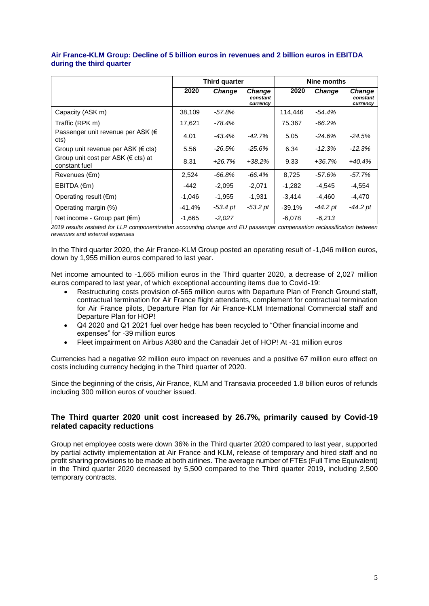|                                                          | <b>Third quarter</b> |               |                                       | Nine months |               |                                       |  |
|----------------------------------------------------------|----------------------|---------------|---------------------------------------|-------------|---------------|---------------------------------------|--|
|                                                          | 2020                 | <b>Change</b> | <b>Change</b><br>constant<br>currency | 2020        | <b>Change</b> | <b>Change</b><br>constant<br>currency |  |
| Capacity (ASK m)                                         | 38,109               | $-57.8\%$     |                                       | 114.446     | -54.4%        |                                       |  |
| Traffic (RPK m)                                          | 17,621               | -78.4%        |                                       | 75,367      | $-66.2%$      |                                       |  |
| Passenger unit revenue per ASK ( $\epsilon$<br>cts)      | 4.01                 | -43.4%        | $-42.7%$                              | 5.05        | $-24.6%$      | -24.5%                                |  |
| Group unit revenue per ASK ( $\epsilon$ cts)             | 5.56                 | -26.5%        | -25.6%                                | 6.34        | $-12.3%$      | $-12.3%$                              |  |
| Group unit cost per ASK ( $\in$ cts) at<br>constant fuel | 8.31                 | $+26.7%$      | $+38.2%$                              | 9.33        | $+36.7%$      | +40.4%                                |  |
| Revenues $(\epsilon m)$                                  | 2,524                | -66.8%        | -66.4%                                | 8,725       | $-57.6%$      | -57.7%                                |  |
| EBITDA $(\epsilon m)$                                    | -442                 | $-2,095$      | $-2,071$                              | -1,282      | $-4,545$      | $-4,554$                              |  |
| Operating result $(\epsilon m)$                          | $-1.046$             | $-1,955$      | $-1,931$                              | $-3,414$    | -4,460        | $-4,470$                              |  |
| Operating margin (%)                                     | $-41.4%$             | $-53.4$ pt    | $-53.2$ pt                            | $-39.1%$    | -44.2 pt      | $-44.2$ pt                            |  |
| Net income - Group part (€m)                             | $-1,665$             | $-2,027$      |                                       | $-6,078$    | $-6.213$      |                                       |  |

#### **Air France-KLM Group: Decline of 5 billion euros in revenues and 2 billion euros in EBITDA during the third quarter**

*2019 results restated for LLP componentization accounting change and EU passenger compensation reclassification between revenues and external expenses*

In the Third quarter 2020, the Air France-KLM Group posted an operating result of -1,046 million euros, down by 1,955 million euros compared to last year.

Net income amounted to -1,665 million euros in the Third quarter 2020, a decrease of 2,027 million euros compared to last year, of which exceptional accounting items due to Covid-19:

- Restructuring costs provision of-565 million euros with Departure Plan of French Ground staff, contractual termination for Air France flight attendants, complement for contractual termination for Air France pilots, Departure Plan for Air France-KLM International Commercial staff and Departure Plan for HOP!
- Q4 2020 and Q1 2021 fuel over hedge has been recycled to "Other financial income and expenses" for -39 million euros
- Fleet impairment on Airbus A380 and the Canadair Jet of HOP! At -31 million euros

Currencies had a negative 92 million euro impact on revenues and a positive 67 million euro effect on costs including currency hedging in the Third quarter of 2020.

Since the beginning of the crisis, Air France, KLM and Transavia proceeded 1.8 billion euros of refunds including 300 million euros of voucher issued.

#### **The Third quarter 2020 unit cost increased by 26.7%, primarily caused by Covid-19 related capacity reductions**

Group net employee costs were down 36% in the Third quarter 2020 compared to last year, supported by partial activity implementation at Air France and KLM, release of temporary and hired staff and no profit sharing provisions to be made at both airlines. The average number of FTEs (Full Time Equivalent) in the Third quarter 2020 decreased by 5,500 compared to the Third quarter 2019, including 2,500 temporary contracts.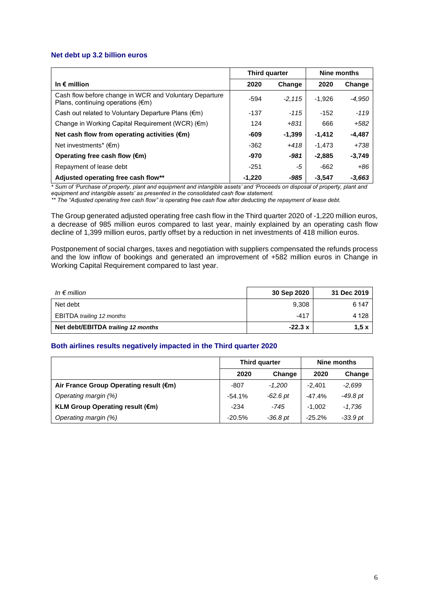#### **Net debt up 3.2 billion euros**

|                                                                                                       | Third quarter |          | Nine months |          |
|-------------------------------------------------------------------------------------------------------|---------------|----------|-------------|----------|
| In $\epsilon$ million                                                                                 | 2020          | Change   | 2020        | Change   |
| Cash flow before change in WCR and Voluntary Departure<br>Plans, continuing operations $(\epsilon m)$ | -594          | $-2.115$ | $-1.926$    | -4,950   |
| Cash out related to Voluntary Departure Plans (€m)                                                    | -137          | -115     | $-152$      | $-119$   |
| Change in Working Capital Requirement (WCR) $(\epsilon m)$                                            | 124           | $+831$   | 666         | $+582$   |
| Net cash flow from operating activities $(\epsilon m)$                                                | -609          | $-1,399$ | $-1.412$    | -4,487   |
| Net investments* $(\epsilon m)$                                                                       | $-362$        | $+418$   | $-1.473$    | $+738$   |
| Operating free cash flow $(\epsilon m)$                                                               | -970          | -981     | $-2,885$    | $-3,749$ |
| Repayment of lease debt                                                                               | $-251$        | -5       | $-662$      | $+86$    |
| Adjusted operating free cash flow**                                                                   | $-1,220$      | -985     | $-3.547$    | $-3,663$ |

*\* Sum of 'Purchase of property, plant and equipment and intangible assets' and 'Proceeds on disposal of property, plant and equipment and intangible assets' as presented in the consolidated cash flow statement.*

*\*\* The "Adjusted operating free cash flow" is operating free cash flow after deducting the repayment of lease debt.*

The Group generated adjusted operating free cash flow in the Third quarter 2020 of -1,220 million euros, a decrease of 985 million euros compared to last year, mainly explained by an operating cash flow decline of 1,399 million euros, partly offset by a reduction in net investments of 418 million euros.

Postponement of social charges, taxes and negotiation with suppliers compensated the refunds process and the low inflow of bookings and generated an improvement of +582 million euros in Change in Working Capital Requirement compared to last year.

| In $\epsilon$ million              | 30 Sep 2020 | 31 Dec 2019 |
|------------------------------------|-------------|-------------|
| Net debt                           | 9,308       | 6 147       |
| <b>EBITDA</b> trailing 12 months   | -417        | 4 1 2 8     |
| Net debt/EBITDA trailing 12 months | $-22.3x$    | 1.5x        |

#### **Both airlines results negatively impacted in the Third quarter 2020**

|                                        |          | Third quarter | Nine months |            |  |
|----------------------------------------|----------|---------------|-------------|------------|--|
|                                        | 2020     | Change        | 2020        | Change     |  |
| Air France Group Operating result (€m) | -807     | -1.200        | $-2.401$    | $-2,699$   |  |
| Operating margin (%)                   | $-54.1%$ | -62.6 pt      | $-47.4%$    | $-49.8$ pt |  |
| <b>KLM Group Operating result (€m)</b> | $-234$   | -745          | $-1.002$    | -1.736     |  |
| Operating margin (%)                   | $-20.5%$ | -36.8 pt      | $-25.2%$    | $-33.9$ pt |  |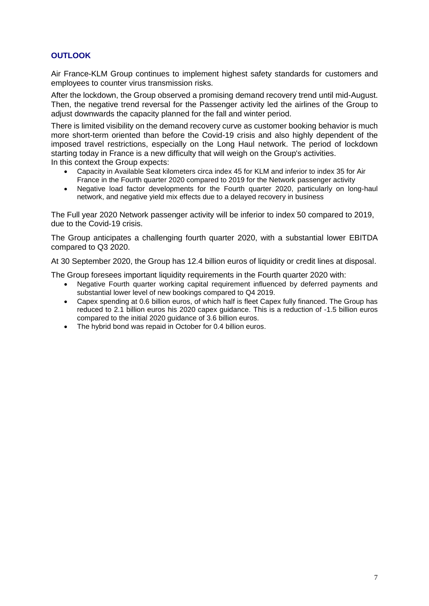# **OUTLOOK**

Air France-KLM Group continues to implement highest safety standards for customers and employees to counter virus transmission risks.

After the lockdown, the Group observed a promising demand recovery trend until mid-August. Then, the negative trend reversal for the Passenger activity led the airlines of the Group to adjust downwards the capacity planned for the fall and winter period.

There is limited visibility on the demand recovery curve as customer booking behavior is much more short-term oriented than before the Covid-19 crisis and also highly dependent of the imposed travel restrictions, especially on the Long Haul network. The period of lockdown starting today in France is a new difficulty that will weigh on the Group's activities. In this context the Group expects:

- Capacity in Available Seat kilometers circa index 45 for KLM and inferior to index 35 for Air France in the Fourth quarter 2020 compared to 2019 for the Network passenger activity
- Negative load factor developments for the Fourth quarter 2020, particularly on long-haul network, and negative yield mix effects due to a delayed recovery in business

The Full year 2020 Network passenger activity will be inferior to index 50 compared to 2019, due to the Covid-19 crisis.

The Group anticipates a challenging fourth quarter 2020, with a substantial lower EBITDA compared to Q3 2020.

At 30 September 2020, the Group has 12.4 billion euros of liquidity or credit lines at disposal.

The Group foresees important liquidity requirements in the Fourth quarter 2020 with:

- Negative Fourth quarter working capital requirement influenced by deferred payments and substantial lower level of new bookings compared to Q4 2019.
- Capex spending at 0.6 billion euros, of which half is fleet Capex fully financed. The Group has reduced to 2.1 billion euros his 2020 capex guidance. This is a reduction of -1.5 billion euros compared to the initial 2020 guidance of 3.6 billion euros.
- The hybrid bond was repaid in October for 0.4 billion euros.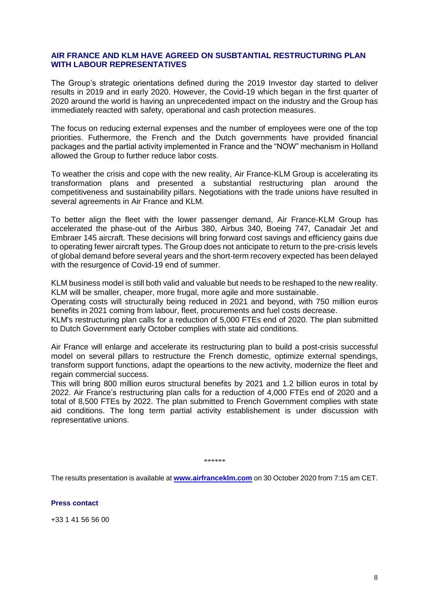## **AIR FRANCE AND KLM HAVE AGREED ON SUSBTANTIAL RESTRUCTURING PLAN WITH LABOUR REPRESENTATIVES**

The Group's strategic orientations defined during the 2019 Investor day started to deliver results in 2019 and in early 2020. However, the Covid-19 which began in the first quarter of 2020 around the world is having an unprecedented impact on the industry and the Group has immediately reacted with safety, operational and cash protection measures.

The focus on reducing external expenses and the number of employees were one of the top priorities. Futhermore, the French and the Dutch governments have provided financial packages and the partial activity implemented in France and the "NOW" mechanism in Holland allowed the Group to further reduce labor costs.

To weather the crisis and cope with the new reality, Air France-KLM Group is accelerating its transformation plans and presented a substantial restructuring plan around the competitiveness and sustainability pillars. Negotiations with the trade unions have resulted in several agreements in Air France and KLM.

To better align the fleet with the lower passenger demand, Air France-KLM Group has accelerated the phase-out of the Airbus 380, Airbus 340, Boeing 747, Canadair Jet and Embraer 145 aircraft. These decisions will bring forward cost savings and efficiency gains due to operating fewer aircraft types. The Group does not anticipate to return to the pre-crisis levels of global demand before several years and the short-term recovery expected has been delayed with the resurgence of Covid-19 end of summer.

KLM business model is still both valid and valuable but needs to be reshaped to the new reality. KLM will be smaller, cheaper, more frugal, more agile and more sustainable.

Operating costs will structurally being reduced in 2021 and beyond, with 750 million euros benefits in 2021 coming from labour, fleet, procurements and fuel costs decrease.

KLM's restructuring plan calls for a reduction of 5,000 FTEs end of 2020. The plan submitted to Dutch Government early October complies with state aid conditions.

Air France will enlarge and accelerate its restructuring plan to build a post-crisis successful model on several pillars to restructure the French domestic, optimize external spendings, transform support functions, adapt the opeartions to the new activity, modernize the fleet and regain commercial success.

This will bring 800 million euros structural benefits by 2021 and 1.2 billion euros in total by 2022. Air France's restructuring plan calls for a reduction of 4,000 FTEs end of 2020 and a total of 8,500 FTEs by 2022. The plan submitted to French Government complies with state aid conditions. The long term partial activity establishement is under discussion with representative unions.

*\*\*\*\*\*\** 

The results presentation is available at **www.airfranceklm.com** on 30 October 2020 from 7:15 am CET.

**Press contact**

+33 1 41 56 56 00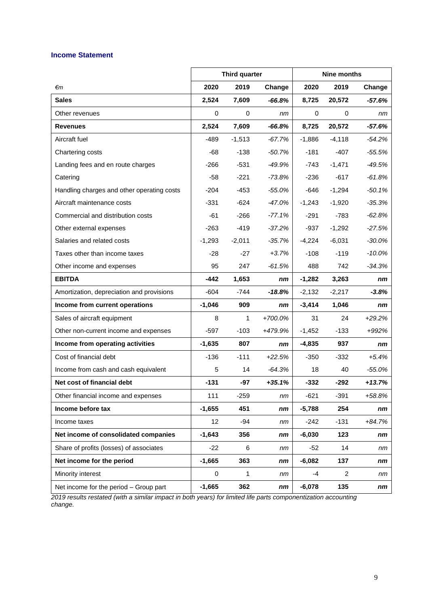## **Income Statement**

|                                            |          | <b>Third quarter</b> |          | <b>Nine months</b> |                |           |
|--------------------------------------------|----------|----------------------|----------|--------------------|----------------|-----------|
| €m                                         | 2020     | 2019                 | Change   | 2020               | 2019           | Change    |
| <b>Sales</b>                               | 2,524    | 7,609                | $-66.8%$ | 8,725              | 20,572         | -57.6%    |
| Other revenues                             | 0        | $\mathbf 0$          | nm       | $\mathbf 0$        | $\mathbf 0$    | nm        |
| <b>Revenues</b>                            | 2,524    | 7,609                | $-66.8%$ | 8,725              | 20,572         | $-57.6%$  |
| Aircraft fuel                              | $-489$   | $-1,513$             | $-67.7%$ | $-1,886$           | $-4,118$       | $-54.2%$  |
| Chartering costs                           | -68      | $-138$               | $-50.7%$ | $-181$             | $-407$         | $-55.5%$  |
| Landing fees and en route charges          | $-266$   | $-531$               | $-49.9%$ | -743               | $-1,471$       | $-49.5%$  |
| Catering                                   | $-58$    | $-221$               | $-73.8%$ | $-236$             | $-617$         | $-61.8%$  |
| Handling charges and other operating costs | $-204$   | $-453$               | $-55.0%$ | -646               | $-1,294$       | $-50.1%$  |
| Aircraft maintenance costs                 | $-331$   | $-624$               | $-47.0%$ | $-1,243$           | $-1,920$       | $-35.3%$  |
| Commercial and distribution costs          | -61      | $-266$               | $-77.1%$ | $-291$             | $-783$         | $-62.8%$  |
| Other external expenses                    | $-263$   | $-419$               | $-37.2%$ | $-937$             | $-1,292$       | $-27.5%$  |
| Salaries and related costs                 | $-1,293$ | $-2,011$             | $-35.7%$ | $-4,224$           | $-6,031$       | $-30.0%$  |
| Taxes other than income taxes              | -28      | $-27$                | $+3.7%$  | $-108$             | $-119$         | $-10.0%$  |
| Other income and expenses                  | 95       | 247                  | $-61.5%$ | 488                | 742            | $-34.3%$  |
| <b>EBITDA</b>                              | $-442$   | 1,653                | nm       | $-1,282$           | 3,263          | nm        |
| Amortization, depreciation and provisions  | $-604$   | $-744$               | $-18.8%$ | $-2,132$           | $-2,217$       | $-3.8%$   |
| Income from current operations             | $-1,046$ | 909                  | nm       | $-3,414$           | 1,046          | nm        |
| Sales of aircraft equipment                | 8        | $\mathbf{1}$         | +700.0%  | 31                 | 24             | $+29.2%$  |
| Other non-current income and expenses      | $-597$   | $-103$               | +479.9%  | $-1,452$           | $-133$         | $+992%$   |
| Income from operating activities           | $-1,635$ | 807                  | nm       | $-4,835$           | 937            | nm        |
| Cost of financial debt                     | $-136$   | $-111$               | $+22.5%$ | $-350$             | $-332$         | $+5.4%$   |
| Income from cash and cash equivalent       | 5        | 14                   | $-64.3%$ | 18                 | 40             | $-55.0\%$ |
| Net cost of financial debt                 | $-131$   | $-97$                | $+35.1%$ | $-332$             | $-292$         | $+13.7%$  |
| Other financial income and expenses        | 111      | $-259$               | nm       | $-621$             | $-391$         | +58.8%    |
| Income before tax                          | $-1,655$ | 451                  | nm       | $-5,788$           | 254            | nm        |
| Income taxes                               | 12       | $-94$                | nm       | $-242$             | $-131$         | $+84.7%$  |
| Net income of consolidated companies       | $-1,643$ | 356                  | nm       | $-6,030$           | 123            | nm        |
| Share of profits (losses) of associates    | $-22$    | 6                    | nm       | $-52$              | 14             | nm        |
| Net income for the period                  | $-1,665$ | 363                  | nm       | $-6,082$           | 137            | nm        |
| Minority interest                          | 0        | 1                    | nm       | -4                 | $\overline{2}$ | nm        |
| Net income for the period - Group part     | $-1,665$ | 362                  | nm       | $-6,078$           | 135            | nm        |

*2019 results restated (with a similar impact in both years) for limited life parts componentization accounting change.*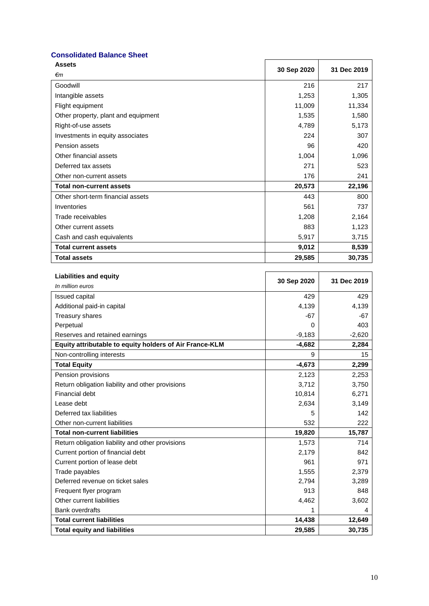## **Consolidated Balance Sheet**

| <b>Assets</b>                       |             | 31 Dec 2019 |
|-------------------------------------|-------------|-------------|
| €m                                  | 30 Sep 2020 |             |
| Goodwill                            | 216         | 217         |
| Intangible assets                   | 1,253       | 1,305       |
| Flight equipment                    | 11,009      | 11,334      |
| Other property, plant and equipment | 1,535       | 1,580       |
| Right-of-use assets                 | 4,789       | 5,173       |
| Investments in equity associates    | 224         | 307         |
| Pension assets                      | 96          | 420         |
| Other financial assets              | 1,004       | 1,096       |
| Deferred tax assets                 | 271         | 523         |
| Other non-current assets            | 176         | 241         |
| <b>Total non-current assets</b>     | 20,573      | 22,196      |
| Other short-term financial assets   | 443         | 800         |
| Inventories                         | 561         | 737         |
| Trade receivables                   | 1,208       | 2,164       |
| Other current assets                | 883         | 1,123       |
| Cash and cash equivalents           | 5,917       | 3,715       |
| <b>Total current assets</b>         | 9,012       | 8,539       |
| <b>Total assets</b>                 | 29,585      | 30,735      |

| <b>Liabilities and equity</b>                           | 30 Sep 2020 | 31 Dec 2019 |
|---------------------------------------------------------|-------------|-------------|
| In million euros                                        |             |             |
| Issued capital                                          | 429         | 429         |
| Additional paid-in capital                              | 4,139       | 4,139       |
| Treasury shares                                         | $-67$       | $-67$       |
| Perpetual                                               | 0           | 403         |
| Reserves and retained earnings                          | $-9,183$    | $-2,620$    |
| Equity attributable to equity holders of Air France-KLM | $-4,682$    | 2,284       |
| Non-controlling interests                               | 9           | 15          |
| <b>Total Equity</b>                                     | $-4,673$    | 2,299       |
| Pension provisions                                      | 2,123       | 2,253       |
| Return obligation liability and other provisions        | 3,712       | 3,750       |
| Financial debt                                          | 10,814      | 6,271       |
| Lease debt                                              | 2,634       | 3,149       |
| Deferred tax liabilities                                | 5           | 142         |
| Other non-current liabilities                           | 532         | 222         |
| <b>Total non-current liabilities</b>                    | 19,820      | 15,787      |
| Return obligation liability and other provisions        | 1,573       | 714         |
| Current portion of financial debt                       | 2,179       | 842         |
| Current portion of lease debt                           | 961         | 971         |
| Trade payables                                          | 1,555       | 2,379       |
| Deferred revenue on ticket sales                        | 2,794       | 3,289       |
| Frequent flyer program                                  | 913         | 848         |
| Other current liabilities                               | 4,462       | 3,602       |
| <b>Bank overdrafts</b>                                  | 1           | 4           |
| <b>Total current liabilities</b>                        | 14,438      | 12,649      |
| <b>Total equity and liabilities</b>                     | 29.585      | 30.735      |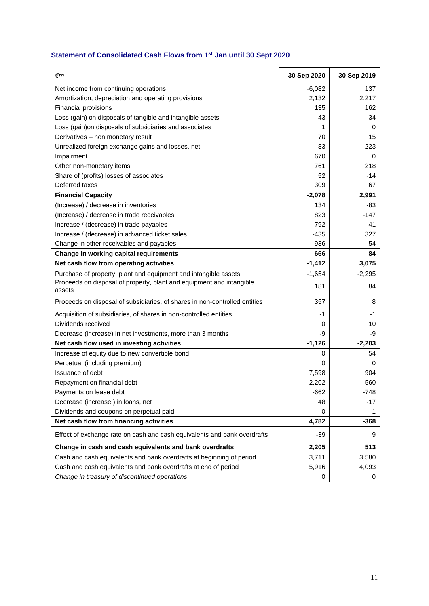# **Statement of Consolidated Cash Flows from 1st Jan until 30 Sept 2020**

| €m                                                                             | 30 Sep 2020 | 30 Sep 2019 |
|--------------------------------------------------------------------------------|-------------|-------------|
| Net income from continuing operations                                          | $-6,082$    | 137         |
| Amortization, depreciation and operating provisions                            | 2,132       | 2,217       |
| Financial provisions                                                           | 135         | 162         |
| Loss (gain) on disposals of tangible and intangible assets                     | $-43$       | $-34$       |
| Loss (gain) on disposals of subsidiaries and associates                        | 1           | 0           |
| Derivatives - non monetary result                                              | 70          | 15          |
| Unrealized foreign exchange gains and losses, net                              | -83         | 223         |
| Impairment                                                                     | 670         | 0           |
| Other non-monetary items                                                       | 761         | 218         |
| Share of (profits) losses of associates                                        | 52          | $-14$       |
| Deferred taxes                                                                 | 309         | 67          |
| <b>Financial Capacity</b>                                                      | $-2,078$    | 2,991       |
| (Increase) / decrease in inventories                                           | 134         | -83         |
| (Increase) / decrease in trade receivables                                     | 823         | $-147$      |
| Increase / (decrease) in trade payables                                        | $-792$      | 41          |
| Increase / (decrease) in advanced ticket sales                                 | $-435$      | 327         |
| Change in other receivables and payables                                       | 936         | -54         |
| Change in working capital requirements                                         | 666         | 84          |
| Net cash flow from operating activities                                        | $-1,412$    | 3,075       |
| Purchase of property, plant and equipment and intangible assets                | $-1,654$    | $-2,295$    |
| Proceeds on disposal of property, plant and equipment and intangible<br>assets | 181         | 84          |
| Proceeds on disposal of subsidiaries, of shares in non-controlled entities     | 357         | 8           |
| Acquisition of subsidiaries, of shares in non-controlled entities              | -1          | -1          |
| Dividends received                                                             | 0           | 10          |
| Decrease (increase) in net investments, more than 3 months                     | -9          | -9          |
| Net cash flow used in investing activities                                     | $-1,126$    | $-2,203$    |
| Increase of equity due to new convertible bond                                 | 0           | 54          |
| Perpetual (including premium)                                                  | 0           | 0           |
| Issuance of debt                                                               | 7,598       | 904         |
| Repayment on financial debt                                                    | $-2,202$    | $-560$      |
| Payments on lease debt                                                         | -662        | -748        |
| Decrease (increase) in loans, net                                              | 48          | $-17$       |
| Dividends and coupons on perpetual paid                                        | 0           | -1          |
| Net cash flow from financing activities                                        | 4,782       | -368        |
| Effect of exchange rate on cash and cash equivalents and bank overdrafts       | $-39$       | 9           |
| Change in cash and cash equivalents and bank overdrafts                        | 2,205       | 513         |
| Cash and cash equivalents and bank overdrafts at beginning of period           | 3,711       | 3,580       |
| Cash and cash equivalents and bank overdrafts at end of period                 | 5,916       | 4,093       |
| Change in treasury of discontinued operations                                  | 0           | 0           |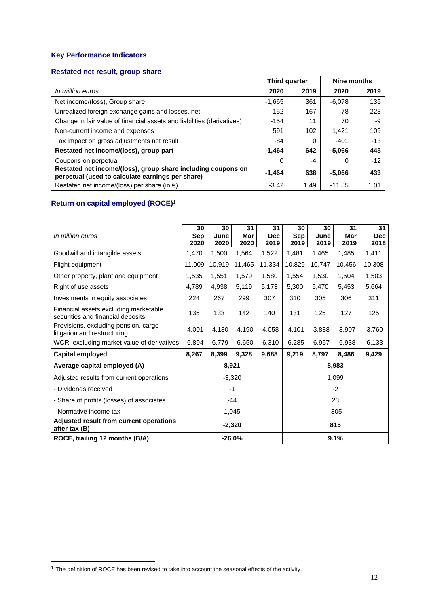# **Key Performance Indicators**

#### **Restated net result, group share**

|                                                                                                                  | Third quarter |          | Nine months |       |
|------------------------------------------------------------------------------------------------------------------|---------------|----------|-------------|-------|
| In million euros                                                                                                 | 2020          | 2019     | 2020        | 2019  |
| Net income/(loss), Group share                                                                                   | $-1.665$      | 361      | $-6.078$    | 135   |
| Unrealized foreign exchange gains and losses, net                                                                | $-152$        | 167      | -78         | 223   |
| Change in fair value of financial assets and liabilities (derivatives)                                           | $-154$        | 11       | 70          | -9    |
| Non-current income and expenses                                                                                  | 591           | 102      | 1.421       | 109   |
| Tax impact on gross adjustments net result                                                                       | -84           | $\Omega$ | $-401$      | $-13$ |
| Restated net income/(loss), group part                                                                           | $-1.464$      | 642      | $-5.066$    | 445   |
| Coupons on perpetual                                                                                             | 0             | -4       | 0           | $-12$ |
| Restated net income/(loss), group share including coupons on<br>perpetual (used to calculate earnings per share) | $-1.464$      | 638      | $-5.066$    | 433   |
| Restated net income/(loss) per share (in $\epsilon$ )                                                            | $-3.42$       | 1.49     | $-11.85$    | 1.01  |

# **Return on capital employed (ROCE)**<sup>1</sup>

| In million euros                                                           | 30<br>Sep<br>2020 | 30<br>June<br>2020 | 31<br>Mar<br>2020 | 31<br><b>Dec</b><br>2019 | 30<br>Sep<br>2019 | 30<br>June<br>2019 | 31<br>Mar<br>2019 | 31<br><b>Dec</b><br>2018 |
|----------------------------------------------------------------------------|-------------------|--------------------|-------------------|--------------------------|-------------------|--------------------|-------------------|--------------------------|
| Goodwill and intangible assets                                             | 1.470             | 1,500              | 1,564             | 1,522                    | 1,481             | 1,465              | 1,485             | 1,411                    |
| Flight equipment                                                           | 11,009            | 10,919             | 11,465            | 11,334                   | 10,829            | 10,747             | 10,456            | 10,308                   |
| Other property, plant and equipment                                        | 1,535             | 1,551              | 1,579             | 1,580                    | 1,554             | 1,530              | 1,504             | 1,503                    |
| Right of use assets                                                        | 4,789             | 4,938              | 5,119             | 5,173                    | 5,300             | 5,470              | 5,453             | 5,664                    |
| Investments in equity associates                                           | 224               | 267                | 299               | 307                      | 310               | 305                | 306               | 311                      |
| Financial assets excluding marketable<br>securities and financial deposits | 135               | 133                | 142               | 140                      | 131               | 125                | 127               | 125                      |
| Provisions, excluding pension, cargo<br>litigation and restructuring       | $-4.001$          | $-4,130$           | $-4,190$          | $-4,058$                 | $-4,101$          | $-3,888$           | $-3,907$          | $-3,760$                 |
| WCR, excluding market value of derivatives                                 | $-6,894$          | -6,779             | $-6,650$          | $-6,310$                 | $-6,285$          | $-6,957$           | $-6,938$          | $-6,133$                 |
| Capital employed                                                           | 8,267             | 8,399              | 9,328             | 9,688                    | 9,219             | 8,797              | 8,486             | 9,429                    |
| Average capital employed (A)                                               |                   |                    | 8,921             |                          |                   |                    | 8,983             |                          |
| Adjusted results from current operations                                   |                   |                    | $-3,320$          |                          |                   |                    | 1,099             |                          |
| - Dividends received                                                       |                   |                    | $-1$              |                          |                   |                    | $-2$              |                          |
| - Share of profits (losses) of associates                                  | $-44$             |                    |                   | 23                       |                   |                    |                   |                          |
| - Normative income tax                                                     | 1,045             |                    |                   |                          |                   |                    | $-305$            |                          |
| Adjusted result from current operations<br>after tax (B)                   |                   |                    | $-2,320$          |                          |                   |                    | 815               |                          |
| ROCE, trailing 12 months (B/A)                                             | $-26.0%$          |                    |                   |                          | 9.1%              |                    |                   |                          |

 $\overline{a}$ 

 $1$  The definition of ROCE has been revised to take into account the seasonal effects of the activity.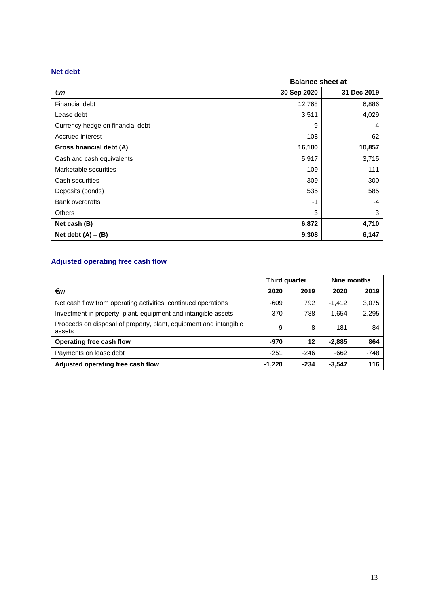## **Net debt**

|                                  | <b>Balance sheet at</b> |             |  |  |
|----------------------------------|-------------------------|-------------|--|--|
| €m                               | 30 Sep 2020             | 31 Dec 2019 |  |  |
| Financial debt                   | 12,768                  | 6,886       |  |  |
| Lease debt                       | 3,511                   | 4,029       |  |  |
| Currency hedge on financial debt | 9                       | 4           |  |  |
| Accrued interest                 | -108                    | $-62$       |  |  |
| Gross financial debt (A)         | 16,180                  | 10,857      |  |  |
| Cash and cash equivalents        | 5,917                   | 3,715       |  |  |
| Marketable securities            | 109                     | 111         |  |  |
| Cash securities                  | 309                     | 300         |  |  |
| Deposits (bonds)                 | 535                     | 585         |  |  |
| <b>Bank overdrafts</b>           | -1                      | -4          |  |  |
| <b>Others</b>                    | 3                       | 3           |  |  |
| Net cash (B)                     | 6,872                   | 4,710       |  |  |
| Net debt $(A) - (B)$             | 9,308                   | 6,147       |  |  |

# **Adjusted operating free cash flow**

|                                                                             | Third quarter |        | Nine months |          |  |
|-----------------------------------------------------------------------------|---------------|--------|-------------|----------|--|
| €m                                                                          | 2020          | 2019   | 2020        | 2019     |  |
| Net cash flow from operating activities, continued operations               | -609          | 792    | $-1.412$    | 3,075    |  |
| Investment in property, plant, equipment and intangible assets              | $-370$        | $-788$ | $-1.654$    | $-2,295$ |  |
| Proceeds on disposal of property, plant, equipment and intangible<br>assets | 9             | 8      | 181         | 84       |  |
| Operating free cash flow                                                    | $-970$        | 12     | $-2.885$    | 864      |  |
| Payments on lease debt                                                      | $-251$        | $-246$ | $-662$      | $-748$   |  |
| Adjusted operating free cash flow                                           | $-1.220$      | $-234$ | $-3,547$    | 116      |  |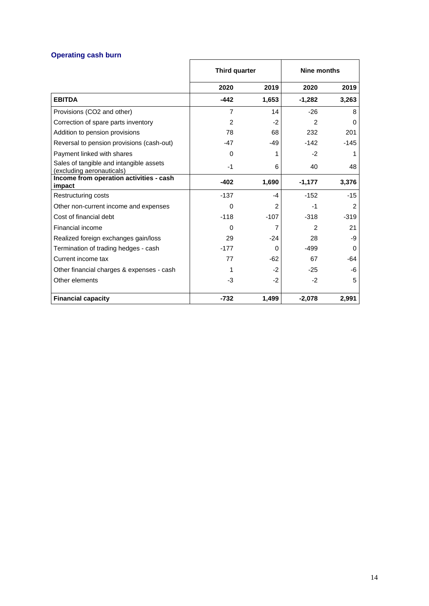# **Operating cash burn**

|                                                                      | Third quarter  |        | <b>Nine months</b> |               |  |
|----------------------------------------------------------------------|----------------|--------|--------------------|---------------|--|
|                                                                      | 2020           | 2019   | 2020               | 2019          |  |
| <b>EBITDA</b>                                                        | $-442$         | 1,653  | $-1,282$           | 3,263         |  |
| Provisions (CO2 and other)                                           | $\overline{7}$ | 14     | $-26$              | 8             |  |
| Correction of spare parts inventory                                  | 2              | $-2$   | $\overline{2}$     | 0             |  |
| Addition to pension provisions                                       | 78             | 68     | 232                | 201           |  |
| Reversal to pension provisions (cash-out)                            | $-47$          | -49    | $-142$             | $-145$        |  |
| Payment linked with shares                                           | $\Omega$       | 1      | $-2$               | 1             |  |
| Sales of tangible and intangible assets<br>(excluding aeronauticals) | $-1$           | 6      | 40                 | 48            |  |
| Income from operation activities - cash<br>impact                    | $-402$         | 1,690  | $-1,177$           | 3,376         |  |
| Restructuring costs                                                  | $-137$         | $-4$   | $-152$             | $-15$         |  |
| Other non-current income and expenses                                | 0              | 2      | -1                 | $\mathcal{P}$ |  |
| Cost of financial debt                                               | $-118$         | $-107$ | $-318$             | $-319$        |  |
| Financial income                                                     | 0              | 7      | $\mathfrak{p}$     | 21            |  |
|                                                                      | 29             | $-24$  | 28                 | -9            |  |
| Realized foreign exchanges gain/loss                                 |                |        |                    |               |  |
| Termination of trading hedges - cash                                 | $-177$         | 0      | $-499$             | $\Omega$      |  |
| Current income tax                                                   | 77             | -62    | 67                 | -64           |  |
| Other financial charges & expenses - cash                            |                | $-2$   | $-25$              | -6            |  |
| Other elements                                                       | -3             | $-2$   | $-2$               | 5             |  |
| <b>Financial capacity</b>                                            | $-732$         | 1,499  | $-2,078$           | 2.991         |  |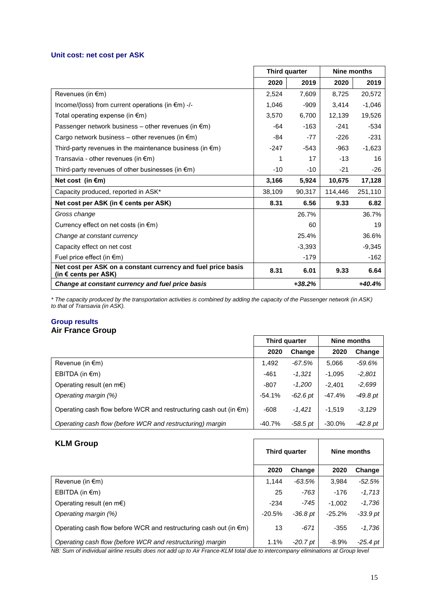#### **Unit cost: net cost per ASK**

|                                                                                      | Third quarter    |        | Nine months |          |
|--------------------------------------------------------------------------------------|------------------|--------|-------------|----------|
|                                                                                      | 2020             | 2019   | 2020        | 2019     |
| Revenues (in €m)                                                                     | 2,524            | 7.609  | 8.725       | 20,572   |
| Income/(loss) from current operations (in $\epsilon$ m) -/-                          | 1.046            | $-909$ | 3.414       | $-1,046$ |
| Total operating expense (in $\epsilon$ m)                                            | 3.570            | 6,700  | 12,139      | 19,526   |
| Passenger network business – other revenues (in $\epsilon$ m)                        | -64              | $-163$ | $-241$      | $-534$   |
| Cargo network business – other revenues (in $\epsilon$ m)                            | -84              | $-77$  | $-226$      | $-231$   |
| Third-party revenues in the maintenance business (in $\epsilon$ m)                   | $-247$<br>$-543$ |        |             |          |
| Transavia - other revenues (in $\epsilon$ m)                                         | 1                | 17     | $-13$       | 16       |
| Third-party revenues of other businesses (in $\epsilon$ m)                           | $-10$            | $-10$  | $-21$       | -26      |
| Net cost (in $\epsilon$ m)                                                           | 3,166            | 5,924  | 10,675      | 17,128   |
| Capacity produced, reported in ASK*                                                  | 38,109           | 90,317 | 114,446     | 251,110  |
| Net cost per ASK (in $\epsilon$ cents per ASK)                                       | 8.31             | 6.56   | 9.33        | 6.82     |
| Gross change                                                                         |                  | 26.7%  |             | 36.7%    |
| Currency effect on net costs (in $\epsilon$ m)                                       |                  | 60     |             | 19       |
| Change at constant currency                                                          | 25.4%            |        |             | 36.6%    |
| Capacity effect on net cost                                                          | $-3,393$         |        |             | $-9,345$ |
| Fuel price effect (in $\epsilon$ m)                                                  |                  | $-179$ |             | $-162$   |
| Net cost per ASK on a constant currency and fuel price basis<br>(in € cents per ASK) | 8.31             | 6.01   | 9.33        | 6.64     |
| Change at constant currency and fuel price basis                                     | $+38.2%$         |        |             | $+40.4%$ |

*\* The capacity produced by the transportation activities is combined by adding the capacity of the Passenger network (in ASK) to that of Transavia (in ASK).*

## **Group results Air France Group**

|                                                                             | Third quarter |          | Nine months |            |
|-----------------------------------------------------------------------------|---------------|----------|-------------|------------|
|                                                                             | 2020          | Change   | 2020        | Change     |
| Revenue (in $\epsilon$ m)                                                   | 1,492         | -67.5%   | 5,066       | $-59.6%$   |
| EBITDA (in $\epsilon$ m)                                                    | $-461$        | $-1,321$ | $-1,095$    | $-2,801$   |
| Operating result (en m $\epsilon$ )                                         | $-807$        | $-1,200$ | $-2.401$    | $-2,699$   |
| Operating margin (%)                                                        | $-54.1%$      | -62.6 pt | -47.4%      | $-49.8pt$  |
| Operating cash flow before WCR and restructuring cash out (in $\epsilon$ m) | $-608$        | $-1,421$ | $-1.519$    | $-3,129$   |
| Operating cash flow (before WCR and restructuring) margin                   | $-40.7%$      | -58.5 pt | $-30.0%$    | $-42.8$ pt |

| <b>KLM Group</b>                                                            |          | Third quarter | Nine months |            |  |
|-----------------------------------------------------------------------------|----------|---------------|-------------|------------|--|
|                                                                             | 2020     | Change        | 2020        | Change     |  |
| Revenue (in $\epsilon$ m)                                                   | 1.144    | -63.5%        | 3.984       | $-52.5%$   |  |
| EBITDA (in $\epsilon$ m)                                                    | 25       | $-763$        | $-176$      | $-1,713$   |  |
| Operating result (en m $\epsilon$ )                                         | $-234$   | $-745$        | $-1.002$    | $-1,736$   |  |
| Operating margin (%)                                                        | $-20.5%$ | $-36.8pt$     | $-25.2%$    | $-33.9$ pt |  |
| Operating cash flow before WCR and restructuring cash out (in $\epsilon$ m) | 13       | $-671$        | $-355$      | $-1,736$   |  |
| Operating cash flow (before WCR and restructuring) margin                   | 1.1%     | $-20.7$ pt    | $-8.9\%$    | $-25.4$ pt |  |

*NB: Sum of individual airline results does not add up to Air France-KLM total due to intercompany eliminations at Group level*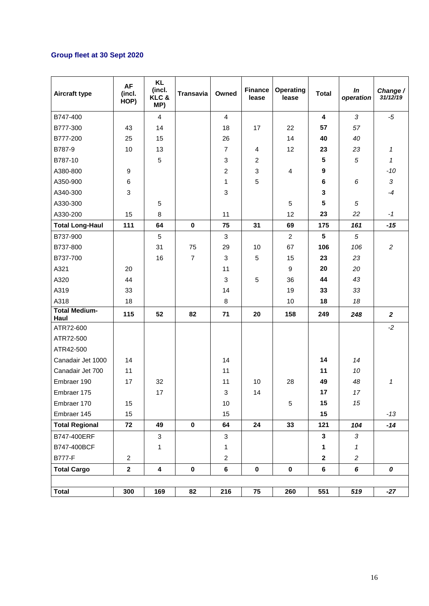# **Group fleet at 30 Sept 2020**

| <b>Aircraft type</b>         | AF<br>(incl.<br>HOP) | <b>KL</b><br>(incl.<br>KLC&<br>MP) | <b>Transavia</b> | Owned          | <b>Finance</b><br>lease | <b>Operating</b><br>lease | <b>Total</b>            | In<br>operation | Change /<br>31/12/19 |
|------------------------------|----------------------|------------------------------------|------------------|----------------|-------------------------|---------------------------|-------------------------|-----------------|----------------------|
| B747-400                     |                      | $\overline{4}$                     |                  | $\overline{4}$ |                         |                           | $\overline{\mathbf{4}}$ | 3               | -5                   |
| B777-300                     | 43                   | 14                                 |                  | 18             | 17                      | 22                        | 57                      | 57              |                      |
| B777-200                     | 25                   | 15                                 |                  | 26             |                         | 14                        | 40                      | 40              |                      |
| B787-9                       | 10                   | 13                                 |                  | $\overline{7}$ | 4                       | 12                        | 23                      | 23              | $\mathcal I$         |
| B787-10                      |                      | 5                                  |                  | 3              | $\overline{c}$          |                           | 5                       | 5               | $\mathcal I$         |
| A380-800                     | 9                    |                                    |                  | $\overline{c}$ | 3                       | 4                         | $\boldsymbol{9}$        |                 | -10                  |
| A350-900                     | $\,6\,$              |                                    |                  | $\mathbf{1}$   | 5                       |                           | $6\phantom{1}$          | 6               | 3                    |
| A340-300                     | $\mathfrak{S}$       |                                    |                  | 3              |                         |                           | 3                       |                 | $-4$                 |
| A330-300                     |                      | 5                                  |                  |                |                         | 5                         | 5                       | 5               |                      |
| A330-200                     | 15                   | 8                                  |                  | 11             |                         | 12                        | 23                      | 22              | $-1$                 |
| <b>Total Long-Haul</b>       | 111                  | 64                                 | $\mathbf 0$      | 75             | 31                      | 69                        | 175                     | 161             | $-15$                |
| B737-900                     |                      | 5                                  |                  | 3              |                         | $\overline{2}$            | $5\phantom{.0}$         | $\sqrt{5}$      |                      |
| B737-800                     |                      | 31                                 | 75               | 29             | 10                      | 67                        | 106                     | 106             | $\overline{c}$       |
| B737-700                     |                      | 16                                 | $\overline{7}$   | 3              | 5                       | 15                        | 23                      | 23              |                      |
| A321                         | 20                   |                                    |                  | 11             |                         | $\boldsymbol{9}$          | 20                      | 20              |                      |
| A320                         | 44                   |                                    |                  | 3              | 5                       | 36                        | 44                      | 43              |                      |
| A319                         | 33                   |                                    |                  | 14             |                         | 19                        | 33                      | 33              |                      |
| A318                         | 18                   |                                    |                  | 8              |                         | 10                        | 18                      | 18              |                      |
| <b>Total Medium-</b><br>Haul | 115                  | 52                                 | 82               | 71             | 20                      | 158                       | 249                     | 248             | $\overline{2}$       |
| ATR72-600                    |                      |                                    |                  |                |                         |                           |                         |                 | $-2$                 |
| ATR72-500                    |                      |                                    |                  |                |                         |                           |                         |                 |                      |
| ATR42-500                    |                      |                                    |                  |                |                         |                           |                         |                 |                      |
| Canadair Jet 1000            | 14                   |                                    |                  | 14             |                         |                           | 14                      | 14              |                      |
| Canadair Jet 700             | 11                   |                                    |                  | 11             |                         |                           | 11                      | 10              |                      |
| Embraer 190                  | 17                   | 32                                 |                  | 11             | 10                      | 28                        | 49                      | 48              | 1                    |
| Embraer 175                  |                      | 17                                 |                  | 3              | 14                      |                           | 17                      | 17              |                      |
| Embraer 170                  | 15                   |                                    |                  | 10             |                         | 5                         | 15                      | 15              |                      |
| Embraer 145                  | 15                   |                                    |                  | 15             |                         |                           | 15                      |                 | $-13$                |
| <b>Total Regional</b>        | 72                   | 49                                 | $\mathbf 0$      | 64             | 24                      | 33                        | 121                     | 104             | $-14$                |
| B747-400ERF                  |                      | $\mathbf{3}$                       |                  | 3              |                         |                           | $\mathbf{3}$            | 3               |                      |
| B747-400BCF                  |                      | 1                                  |                  | $\mathbf{1}$   |                         |                           | 1                       | 1               |                      |
| <b>B777-F</b>                | $\overline{c}$       |                                    |                  | $\overline{c}$ |                         |                           | $\mathbf{2}$            | $\overline{c}$  |                      |
| <b>Total Cargo</b>           | $\mathbf 2$          | 4                                  | $\mathbf 0$      | 6              | $\pmb{0}$               | $\pmb{0}$                 | $\bf 6$                 | 6               | 0                    |
|                              |                      |                                    |                  |                |                         |                           |                         |                 |                      |
| <b>Total</b>                 | 300                  | 169                                | 82               | 216            | 75                      | 260                       | 551                     | 519             | $-27$                |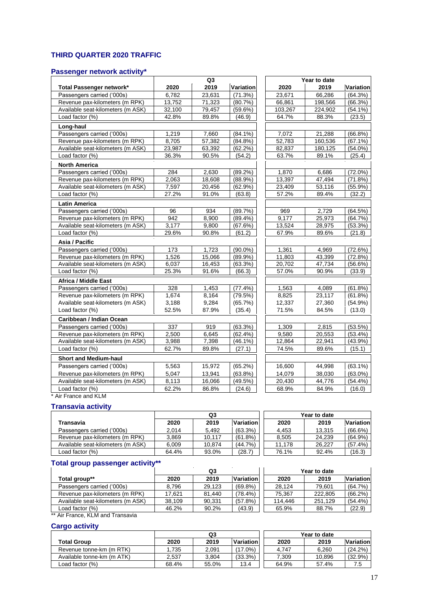# **THIRD QUARTER 2020 TRAFFIC**

#### **Passenger network activity\***

|                                   | Q <sub>3</sub> |        |            | Year to date |         |            |  |
|-----------------------------------|----------------|--------|------------|--------------|---------|------------|--|
| Total Passenger network*          | 2020           | 2019   | Variation  | 2020         | 2019    | Variation  |  |
| Passengers carried ('000s)        | 6.782          | 23,631 | (71.3%)    | 23.671       | 66.286  | (64.3%)    |  |
| Revenue pax-kilometers (m RPK)    | 13,752         | 71,323 | (80.7%)    | 66,861       | 198,566 | (66.3%)    |  |
| Available seat-kilometers (m ASK) | 32,100         | 79,457 | $(59.6\%)$ | 103,267      | 224,902 | $(54.1\%)$ |  |
| Load factor (%)                   | 42.8%          | 89.8%  | (46.9)     | 64.7%        | 88.3%   | (23.5)     |  |
| Long-haul                         |                |        |            |              |         |            |  |
| Passengers carried ('000s)        | 1,219          | 7.660  | $(84.1\%)$ | 7,072        | 21,288  | $(66.8\%)$ |  |
| Revenue pax-kilometers (m RPK)    | 8,705          | 57,382 | $(84.8\%)$ | 52,783       | 160,536 | $(67.1\%)$ |  |
| Available seat-kilometers (m ASK) | 23,987         | 63,392 | $(62.2\%)$ | 82,837       | 180,125 | $(54.0\%)$ |  |
| Load factor (%)                   | 36.3%          | 90.5%  | (54.2)     | 63.7%        | 89.1%   | (25.4)     |  |
| <b>North America</b>              |                |        |            |              |         |            |  |
| Passengers carried ('000s)        | 284            | 2,630  | $(89.2\%)$ | 1,870        | 6,686   | $(72.0\%)$ |  |
| Revenue pax-kilometers (m RPK)    | 2,063          | 18,608 | $(88.9\%)$ | 13,397       | 47,494  | (71.8%)    |  |
| Available seat-kilometers (m ASK) | 7,597          | 20,456 | $(62.9\%)$ | 23,409       | 53,116  | $(55.9\%)$ |  |
| Load factor (%)                   | 27.2%          | 91.0%  | (63.8)     | 57.2%        | 89.4%   | (32.2)     |  |
| <b>Latin America</b>              |                |        |            |              |         |            |  |
| Passengers carried ('000s)        | 96             | 934    | (89.7%)    | 969          | 2,729   | (64.5%)    |  |
| Revenue pax-kilometers (m RPK)    | 942            | 8,900  | $(89.4\%)$ | 9,177        | 25,973  | (64.7%)    |  |
| Available seat-kilometers (m ASK) | 3,177          | 9.800  | (67.6%)    | 13,524       | 28,975  | $(53.3\%)$ |  |
| Load factor (%)                   | 29.6%          | 90.8%  | (61.2)     | 67.9%        | 89.6%   | (21.8)     |  |
| Asia / Pacific                    |                |        |            |              |         |            |  |
| Passengers carried ('000s)        | 173            | 1,723  | $(90.0\%)$ | 1,361        | 4,969   | (72.6%)    |  |
| Revenue pax-kilometers (m RPK)    | 1,526          | 15,066 | $(89.9\%)$ | 11,803       | 43,399  | (72.8%)    |  |
| Available seat-kilometers (m ASK) | 6,037          | 16,453 | (63.3%)    | 20,702       | 47,734  | $(56.6\%)$ |  |
| Load factor (%)                   | 25.3%          | 91.6%  | (66.3)     | 57.0%        | 90.9%   | (33.9)     |  |
| Africa / Middle East              |                |        |            |              |         |            |  |
| Passengers carried ('000s)        | 328            | 1,453  | (77.4%)    | 1,563        | 4,089   | $(61.8\%)$ |  |
| Revenue pax-kilometers (m RPK)    | 1,674          | 8,164  | (79.5%)    | 8,825        | 23,117  | (61.8%)    |  |
| Available seat-kilometers (m ASK) | 3,188          | 9,284  | (65.7%)    | 12,337       | 27,360  | $(54.9\%)$ |  |
| Load factor (%)                   | 52.5%          | 87.9%  | (35.4)     | 71.5%        | 84.5%   | (13.0)     |  |
| Caribbean / Indian Ocean          |                |        |            |              |         |            |  |
| Passengers carried ('000s)        | 337            | 919    | $(63.3\%)$ | 1,309        | 2,815   | $(53.5\%)$ |  |
| Revenue pax-kilometers (m RPK)    | 2,500          | 6,645  | $(62.4\%)$ | 9,580        | 20,553  | $(53.4\%)$ |  |
| Available seat-kilometers (m ASK) | 3,988          | 7,398  | $(46.1\%)$ | 12,864       | 22,941  | $(43.9\%)$ |  |
| Load factor (%)                   | 62.7%          | 89.8%  | (27.1)     | 74.5%        | 89.6%   | (15.1)     |  |
| <b>Short and Medium-haul</b>      |                |        |            |              |         |            |  |
| Passengers carried ('000s)        | 5,563          | 15,972 | (65.2%)    | 16,600       | 44,998  | $(63.1\%)$ |  |
| Revenue pax-kilometers (m RPK)    | 5.047          | 13,941 | $(63.8\%)$ | 14,079       | 38,030  | $(63.0\%)$ |  |
| Available seat-kilometers (m ASK) | 8,113          | 16,066 | $(49.5\%)$ | 20,430       | 44,776  | $(54.4\%)$ |  |
| Load factor (%)                   | 62.2%          | 86.8%  | (24.6)     | 68.9%        | 84.9%   | (16.0)     |  |

\* Air France and KLM

## **Transavia activity**

|                                   | Q3    |        |            | Year to date |        |            |  |
|-----------------------------------|-------|--------|------------|--------------|--------|------------|--|
| Transavia                         | 2020  | 2019   | Variation  | 2020         | 2019   | Variation  |  |
| Passengers carried ('000s)        | 2.014 | 5.492  | $(63.3\%)$ | 4.453        | 13.315 | (66.6%)    |  |
| Revenue pax-kilometers (m RPK)    | 3.869 | 10.117 | $(61.8\%)$ | 8.505        | 24.239 | (64.9%)    |  |
| Available seat-kilometers (m ASK) | 6.009 | 10.874 | (44.7%)    | 11.178       | 26.227 | $(57.4\%)$ |  |
| Load factor (%)                   | 64.4% | 93.0%  | (28.7)     | 76.1%        | 92.4%  | (16.3)     |  |

#### **Total group passenger activity\*\***

|                                   | Q3     |        |            | Year to date |         |                  |  |
|-----------------------------------|--------|--------|------------|--------------|---------|------------------|--|
| Total group**                     | 2020   | 2019   | Variation  | 2020         | 2019    | <b>Variation</b> |  |
| Passengers carried ('000s)        | 8.796  | 29.123 | $(69.8\%)$ | 28.124       | 79.601  | $(64.7\%)$       |  |
| Revenue pax-kilometers (m RPK)    | 17.621 | 81.440 | $(78.4\%)$ | 75.367       | 222.805 | $(66.2\%)$       |  |
| Available seat-kilometers (m ASK) | 38.109 | 90.331 | (57.8%)    | 114,446      | 251.129 | $(54.4\%)$       |  |
| Load factor (%)                   | 46.2%  | 90.2%  | (43.9)     | 65.9%        | 88.7%   | (22.9)           |  |

\*\* Air France, KLM and Transavia

## **Cargo activity**

|                            |       | Q3    |                  | Year to date |        |            |  |
|----------------------------|-------|-------|------------------|--------------|--------|------------|--|
| <b>Total Group</b>         | 2020  | 2019  | <b>Variation</b> | 2020         | 2019   | Variation  |  |
| Revenue tonne-km (m RTK)   | .735  | 2.091 | $(17.0\%)$       | 4.747        | 6.260  | $(24.2\%)$ |  |
| Available tonne-km (m ATK) | 2.537 | 3.804 | (33.3%)          | 7.309        | 10.896 | $(32.9\%)$ |  |
| Load factor (%)            | 68.4% | 55.0% | 13.4             | 64.9%        | 57.4%  | 7.5        |  |